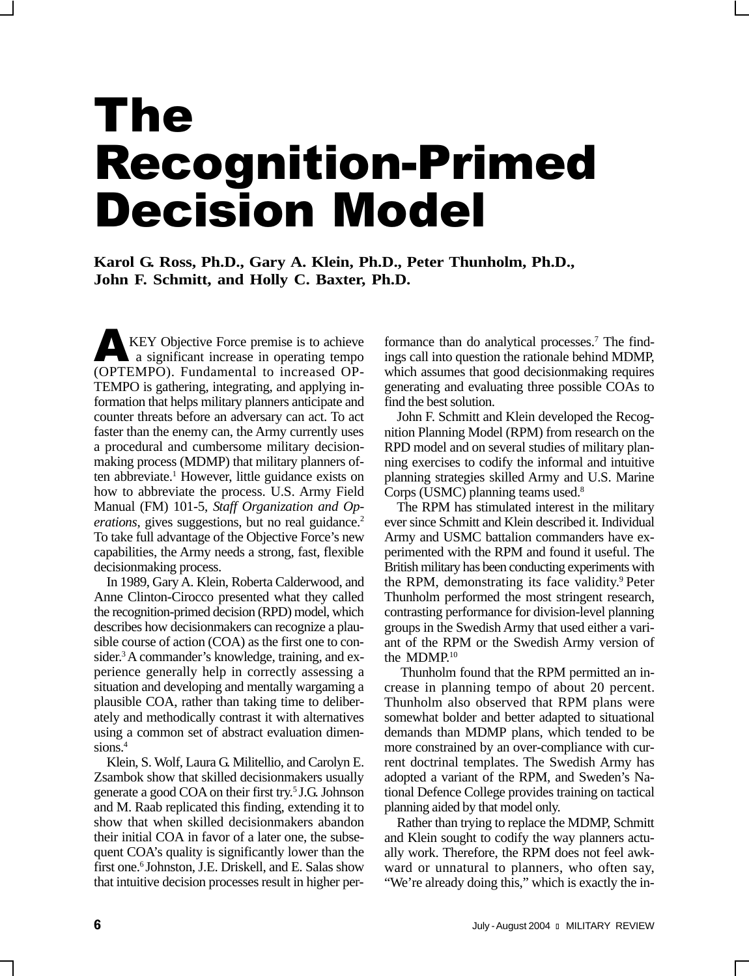# The Recognition-Primed Decision Model

**Karol G. Ross, Ph.D., Gary A. Klein, Ph.D., Peter Thunholm, Ph.D., John F. Schmitt, and Holly C. Baxter, Ph.D.**

KEY Objective Force premise is to achieve a significant increase in operating tempo (OPTEMPO). Fundamental to increased OP-TEMPO is gathering, integrating, and applying information that helps military planners anticipate and counter threats before an adversary can act. To act faster than the enemy can, the Army currently uses a procedural and cumbersome military decisionmaking process (MDMP) that military planners often abbreviate.<sup>1</sup> However, little guidance exists on how to abbreviate the process. U.S. Army Field Manual (FM) 101-5, *Staff Organization and Operations*, gives suggestions, but no real guidance.<sup>2</sup> To take full advantage of the Objective Force's new capabilities, the Army needs a strong, fast, flexible decisionmaking process.

In 1989, Gary A. Klein, Roberta Calderwood, and Anne Clinton-Cirocco presented what they called the recognition-primed decision (RPD) model, which describes how decisionmakers can recognize a plausible course of action (COA) as the first one to consider.<sup>3</sup> A commander's knowledge, training, and experience generally help in correctly assessing a situation and developing and mentally wargaming a plausible COA, rather than taking time to deliberately and methodically contrast it with alternatives using a common set of abstract evaluation dimensions.<sup>4</sup>

Klein, S. Wolf, Laura G. Militellio, and Carolyn E. Zsambok show that skilled decisionmakers usually generate a good COA on their first try.5 J.G. Johnson and M. Raab replicated this finding, extending it to show that when skilled decisionmakers abandon their initial COA in favor of a later one, the subsequent COA's quality is significantly lower than the first one.<sup>6</sup> Johnston, J.E. Driskell, and E. Salas show that intuitive decision processes result in higher per-

formance than do analytical processes.<sup>7</sup> The findings call into question the rationale behind MDMP, which assumes that good decisionmaking requires generating and evaluating three possible COAs to find the best solution.

John F. Schmitt and Klein developed the Recognition Planning Model (RPM) from research on the RPD model and on several studies of military planning exercises to codify the informal and intuitive planning strategies skilled Army and U.S. Marine Corps (USMC) planning teams used.8

The RPM has stimulated interest in the military ever since Schmitt and Klein described it. Individual Army and USMC battalion commanders have experimented with the RPM and found it useful. The British military has been conducting experiments with the RPM, demonstrating its face validity.<sup>9</sup> Peter Thunholm performed the most stringent research, contrasting performance for division-level planning groups in the Swedish Army that used either a variant of the RPM or the Swedish Army version of the MDMP.10

 Thunholm found that the RPM permitted an increase in planning tempo of about 20 percent. Thunholm also observed that RPM plans were somewhat bolder and better adapted to situational demands than MDMP plans, which tended to be more constrained by an over-compliance with current doctrinal templates. The Swedish Army has adopted a variant of the RPM, and Sweden's National Defence College provides training on tactical planning aided by that model only.

Rather than trying to replace the MDMP, Schmitt and Klein sought to codify the way planners actually work. Therefore, the RPM does not feel awkward or unnatural to planners, who often say, "We're already doing this," which is exactly the in-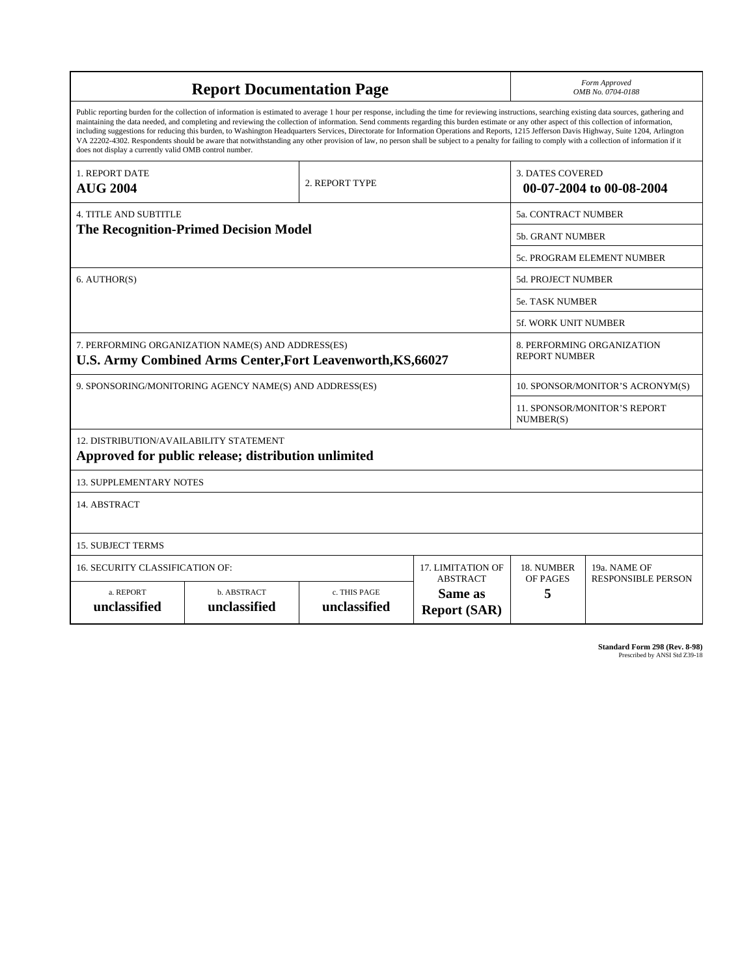| <b>Report Documentation Page</b>                                                                                                                                                                                                                                                                                                                                                                                                                                                                                                                                                                                                                                                                                                                                                                                                                                   |                             |                              |                                | Form Approved<br>OMB No. 0704-0188                  |                                           |
|--------------------------------------------------------------------------------------------------------------------------------------------------------------------------------------------------------------------------------------------------------------------------------------------------------------------------------------------------------------------------------------------------------------------------------------------------------------------------------------------------------------------------------------------------------------------------------------------------------------------------------------------------------------------------------------------------------------------------------------------------------------------------------------------------------------------------------------------------------------------|-----------------------------|------------------------------|--------------------------------|-----------------------------------------------------|-------------------------------------------|
| Public reporting burden for the collection of information is estimated to average 1 hour per response, including the time for reviewing instructions, searching existing data sources, gathering and<br>maintaining the data needed, and completing and reviewing the collection of information. Send comments regarding this burden estimate or any other aspect of this collection of information,<br>including suggestions for reducing this burden, to Washington Headquarters Services, Directorate for Information Operations and Reports, 1215 Jefferson Davis Highway, Suite 1204, Arlington<br>VA 22202-4302. Respondents should be aware that notwithstanding any other provision of law, no person shall be subject to a penalty for failing to comply with a collection of information if it<br>does not display a currently valid OMB control number. |                             |                              |                                |                                                     |                                           |
| 1. REPORT DATE<br><b>AUG 2004</b>                                                                                                                                                                                                                                                                                                                                                                                                                                                                                                                                                                                                                                                                                                                                                                                                                                  | 2. REPORT TYPE              |                              |                                | <b>3. DATES COVERED</b><br>00-07-2004 to 00-08-2004 |                                           |
| <b>4. TITLE AND SUBTITLE</b>                                                                                                                                                                                                                                                                                                                                                                                                                                                                                                                                                                                                                                                                                                                                                                                                                                       |                             |                              |                                | 5a. CONTRACT NUMBER                                 |                                           |
| <b>The Recognition-Primed Decision Model</b>                                                                                                                                                                                                                                                                                                                                                                                                                                                                                                                                                                                                                                                                                                                                                                                                                       |                             |                              |                                | 5b. GRANT NUMBER                                    |                                           |
|                                                                                                                                                                                                                                                                                                                                                                                                                                                                                                                                                                                                                                                                                                                                                                                                                                                                    |                             |                              |                                | 5c. PROGRAM ELEMENT NUMBER                          |                                           |
| 6. AUTHOR(S)                                                                                                                                                                                                                                                                                                                                                                                                                                                                                                                                                                                                                                                                                                                                                                                                                                                       |                             |                              |                                | <b>5d. PROJECT NUMBER</b>                           |                                           |
|                                                                                                                                                                                                                                                                                                                                                                                                                                                                                                                                                                                                                                                                                                                                                                                                                                                                    |                             |                              |                                | 5e. TASK NUMBER                                     |                                           |
|                                                                                                                                                                                                                                                                                                                                                                                                                                                                                                                                                                                                                                                                                                                                                                                                                                                                    |                             |                              |                                | 5f. WORK UNIT NUMBER                                |                                           |
| 7. PERFORMING ORGANIZATION NAME(S) AND ADDRESS(ES)<br><b>U.S. Army Combined Arms Center, Fort Leavenworth, KS, 66027</b>                                                                                                                                                                                                                                                                                                                                                                                                                                                                                                                                                                                                                                                                                                                                           |                             |                              |                                | 8. PERFORMING ORGANIZATION<br><b>REPORT NUMBER</b>  |                                           |
| 9. SPONSORING/MONITORING AGENCY NAME(S) AND ADDRESS(ES)                                                                                                                                                                                                                                                                                                                                                                                                                                                                                                                                                                                                                                                                                                                                                                                                            |                             |                              |                                | 10. SPONSOR/MONITOR'S ACRONYM(S)                    |                                           |
|                                                                                                                                                                                                                                                                                                                                                                                                                                                                                                                                                                                                                                                                                                                                                                                                                                                                    |                             |                              |                                | 11. SPONSOR/MONITOR'S REPORT<br>NUMBER(S)           |                                           |
| 12. DISTRIBUTION/AVAILABILITY STATEMENT<br>Approved for public release; distribution unlimited                                                                                                                                                                                                                                                                                                                                                                                                                                                                                                                                                                                                                                                                                                                                                                     |                             |                              |                                |                                                     |                                           |
| <b>13. SUPPLEMENTARY NOTES</b>                                                                                                                                                                                                                                                                                                                                                                                                                                                                                                                                                                                                                                                                                                                                                                                                                                     |                             |                              |                                |                                                     |                                           |
| 14. ABSTRACT                                                                                                                                                                                                                                                                                                                                                                                                                                                                                                                                                                                                                                                                                                                                                                                                                                                       |                             |                              |                                |                                                     |                                           |
| <b>15. SUBJECT TERMS</b>                                                                                                                                                                                                                                                                                                                                                                                                                                                                                                                                                                                                                                                                                                                                                                                                                                           |                             |                              |                                |                                                     |                                           |
| <b>16. SECURITY CLASSIFICATION OF:</b><br>17. LIMITATION OF<br><b>ABSTRACT</b>                                                                                                                                                                                                                                                                                                                                                                                                                                                                                                                                                                                                                                                                                                                                                                                     |                             |                              |                                | 18. NUMBER<br>OF PAGES                              | 19a. NAME OF<br><b>RESPONSIBLE PERSON</b> |
| a. REPORT<br>unclassified                                                                                                                                                                                                                                                                                                                                                                                                                                                                                                                                                                                                                                                                                                                                                                                                                                          | b. ABSTRACT<br>unclassified | c. THIS PAGE<br>unclassified | Same as<br><b>Report (SAR)</b> | 5                                                   |                                           |

**Standard Form 298 (Rev. 8-98)**<br>Prescribed by ANSI Std Z39-18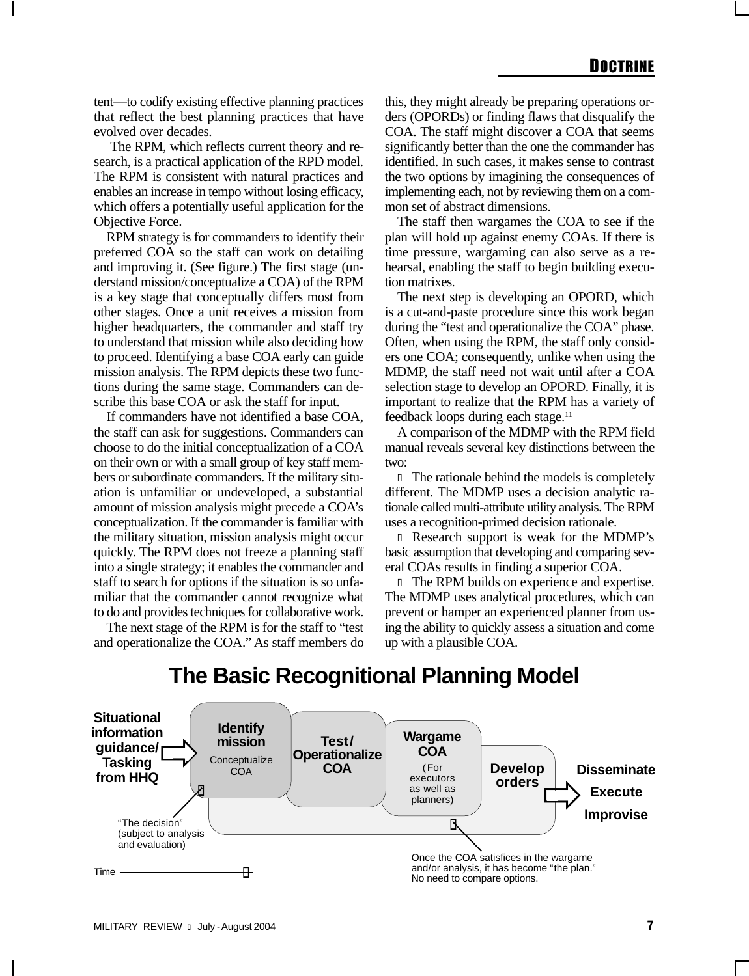tent—to codify existing effective planning practices that reflect the best planning practices that have evolved over decades.

 The RPM, which reflects current theory and research, is a practical application of the RPD model. The RPM is consistent with natural practices and enables an increase in tempo without losing efficacy, which offers a potentially useful application for the Objective Force.

RPM strategy is for commanders to identify their preferred COA so the staff can work on detailing and improving it. (See figure.) The first stage (understand mission/conceptualize a COA) of the RPM is a key stage that conceptually differs most from other stages. Once a unit receives a mission from higher headquarters, the commander and staff try to understand that mission while also deciding how to proceed. Identifying a base COA early can guide mission analysis. The RPM depicts these two functions during the same stage. Commanders can describe this base COA or ask the staff for input.

If commanders have not identified a base COA, the staff can ask for suggestions. Commanders can choose to do the initial conceptualization of a COA on their own or with a small group of key staff members or subordinate commanders. If the military situation is unfamiliar or undeveloped, a substantial amount of mission analysis might precede a COA's conceptualization. If the commander is familiar with the military situation, mission analysis might occur quickly. The RPM does not freeze a planning staff into a single strategy; it enables the commander and staff to search for options if the situation is so unfamiliar that the commander cannot recognize what to do and provides techniques for collaborative work.

The next stage of the RPM is for the staff to "test and operationalize the COA." As staff members do

this, they might already be preparing operations orders (OPORDs) or finding flaws that disqualify the COA. The staff might discover a COA that seems significantly better than the one the commander has identified. In such cases, it makes sense to contrast the two options by imagining the consequences of implementing each, not by reviewing them on a common set of abstract dimensions.

The staff then wargames the COA to see if the plan will hold up against enemy COAs. If there is time pressure, wargaming can also serve as a rehearsal, enabling the staff to begin building execution matrixes.

The next step is developing an OPORD, which is a cut-and-paste procedure since this work began during the "test and operationalize the COA" phase. Often, when using the RPM, the staff only considers one COA; consequently, unlike when using the MDMP, the staff need not wait until after a COA selection stage to develop an OPORD. Finally, it is important to realize that the RPM has a variety of feedback loops during each stage.<sup>11</sup>

A comparison of the MDMP with the RPM field manual reveals several key distinctions between the two:

l The rationale behind the models is completely different. The MDMP uses a decision analytic rationale called multi-attribute utility analysis. The RPM uses a recognition-primed decision rationale.

l Research support is weak for the MDMP's basic assumption that developing and comparing several COAs results in finding a superior COA.

l The RPM builds on experience and expertise. The MDMP uses analytical procedures, which can prevent or hamper an experienced planner from using the ability to quickly assess a situation and come up with a plausible COA.

## **The Basic Recognitional Planning Model**

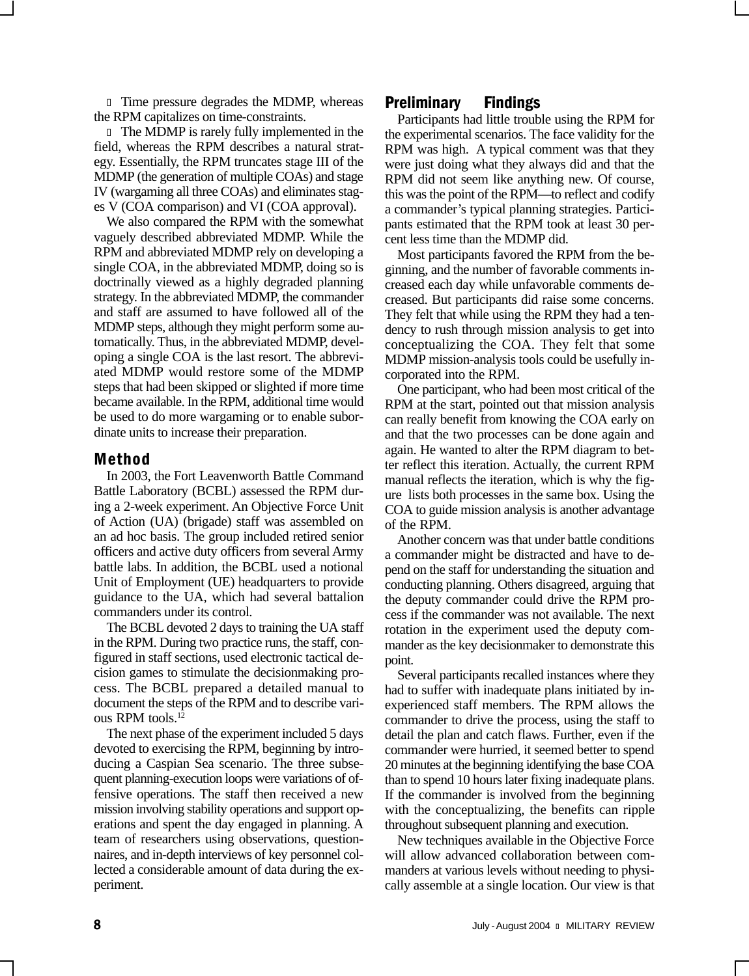l Time pressure degrades the MDMP, whereas the RPM capitalizes on time-constraints.

l The MDMP is rarely fully implemented in the field, whereas the RPM describes a natural strategy. Essentially, the RPM truncates stage III of the MDMP (the generation of multiple COAs) and stage IV (wargaming all three COAs) and eliminates stages V (COA comparison) and VI (COA approval).

We also compared the RPM with the somewhat vaguely described abbreviated MDMP. While the RPM and abbreviated MDMP rely on developing a single COA, in the abbreviated MDMP, doing so is doctrinally viewed as a highly degraded planning strategy. In the abbreviated MDMP, the commander and staff are assumed to have followed all of the MDMP steps, although they might perform some automatically. Thus, in the abbreviated MDMP, developing a single COA is the last resort. The abbreviated MDMP would restore some of the MDMP steps that had been skipped or slighted if more time became available. In the RPM, additional time would be used to do more wargaming or to enable subordinate units to increase their preparation.

#### Method

In 2003, the Fort Leavenworth Battle Command Battle Laboratory (BCBL) assessed the RPM during a 2-week experiment. An Objective Force Unit of Action (UA) (brigade) staff was assembled on an ad hoc basis. The group included retired senior officers and active duty officers from several Army battle labs. In addition, the BCBL used a notional Unit of Employment (UE) headquarters to provide guidance to the UA, which had several battalion commanders under its control.

The BCBL devoted 2 days to training the UA staff in the RPM. During two practice runs, the staff, configured in staff sections, used electronic tactical decision games to stimulate the decisionmaking process. The BCBL prepared a detailed manual to document the steps of the RPM and to describe various RPM tools.12

The next phase of the experiment included 5 days devoted to exercising the RPM, beginning by introducing a Caspian Sea scenario. The three subsequent planning-execution loops were variations of offensive operations. The staff then received a new mission involving stability operations and support operations and spent the day engaged in planning. A team of researchers using observations, questionnaires, and in-depth interviews of key personnel collected a considerable amount of data during the experiment.

### Preliminary Findings

Participants had little trouble using the RPM for the experimental scenarios. The face validity for the RPM was high. A typical comment was that they were just doing what they always did and that the RPM did not seem like anything new. Of course, this was the point of the RPM—to reflect and codify a commander's typical planning strategies. Participants estimated that the RPM took at least 30 percent less time than the MDMP did.

Most participants favored the RPM from the beginning, and the number of favorable comments increased each day while unfavorable comments decreased. But participants did raise some concerns. They felt that while using the RPM they had a tendency to rush through mission analysis to get into conceptualizing the COA. They felt that some MDMP mission-analysis tools could be usefully incorporated into the RPM.

One participant, who had been most critical of the RPM at the start, pointed out that mission analysis can really benefit from knowing the COA early on and that the two processes can be done again and again. He wanted to alter the RPM diagram to better reflect this iteration. Actually, the current RPM manual reflects the iteration, which is why the figure lists both processes in the same box. Using the COA to guide mission analysis is another advantage of the RPM.

Another concern was that under battle conditions a commander might be distracted and have to depend on the staff for understanding the situation and conducting planning. Others disagreed, arguing that the deputy commander could drive the RPM process if the commander was not available. The next rotation in the experiment used the deputy commander as the key decisionmaker to demonstrate this point.

Several participants recalled instances where they had to suffer with inadequate plans initiated by inexperienced staff members. The RPM allows the commander to drive the process, using the staff to detail the plan and catch flaws. Further, even if the commander were hurried, it seemed better to spend 20 minutes at the beginning identifying the base COA than to spend 10 hours later fixing inadequate plans. If the commander is involved from the beginning with the conceptualizing, the benefits can ripple throughout subsequent planning and execution.

New techniques available in the Objective Force will allow advanced collaboration between commanders at various levels without needing to physically assemble at a single location. Our view is that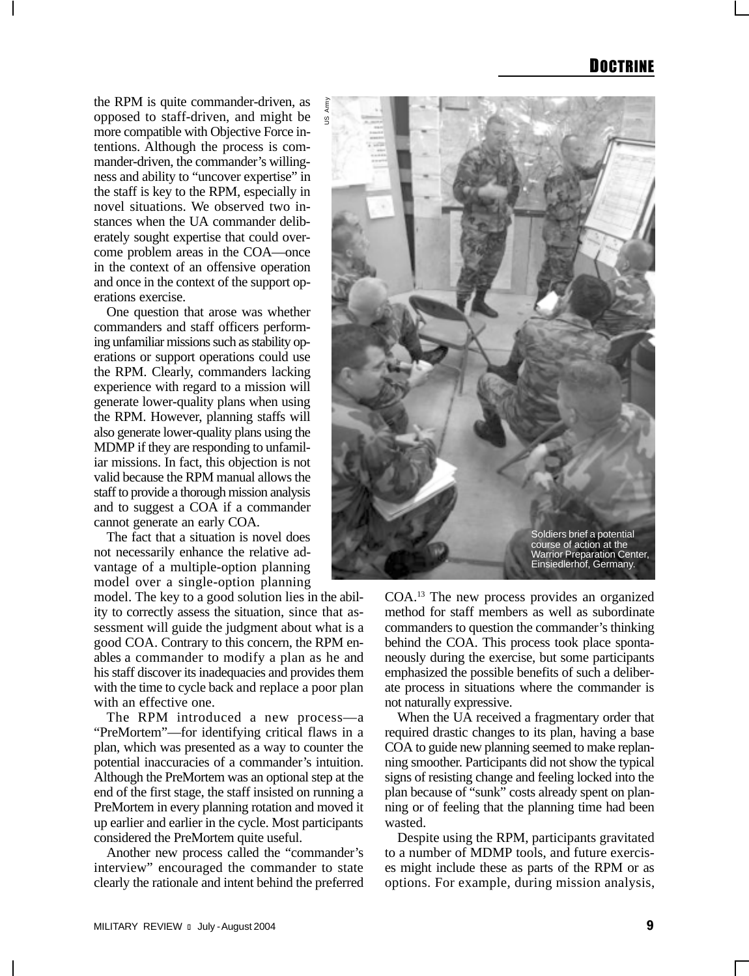the RPM is quite commander-driven, as opposed to staff-driven, and might be more compatible with Objective Force intentions. Although the process is commander-driven, the commander's willingness and ability to "uncover expertise" in the staff is key to the RPM, especially in novel situations. We observed two instances when the UA commander deliberately sought expertise that could overcome problem areas in the COA—once in the context of an offensive operation and once in the context of the support operations exercise.

One question that arose was whether commanders and staff officers performing unfamiliar missions such as stability operations or support operations could use the RPM. Clearly, commanders lacking experience with regard to a mission will generate lower-quality plans when using the RPM. However, planning staffs will also generate lower-quality plans using the MDMP if they are responding to unfamiliar missions. In fact, this objection is not valid because the RPM manual allows the staff to provide a thorough mission analysis and to suggest a COA if a commander cannot generate an early COA.

The fact that a situation is novel does not necessarily enhance the relative advantage of a multiple-option planning model over a single-option planning

model. The key to a good solution lies in the ability to correctly assess the situation, since that assessment will guide the judgment about what is a good COA. Contrary to this concern, the RPM enables a commander to modify a plan as he and his staff discover its inadequacies and provides them with the time to cycle back and replace a poor plan with an effective one.

The RPM introduced a new process—a "PreMortem"—for identifying critical flaws in a plan, which was presented as a way to counter the potential inaccuracies of a commander's intuition. Although the PreMortem was an optional step at the end of the first stage, the staff insisted on running a PreMortem in every planning rotation and moved it up earlier and earlier in the cycle. Most participants considered the PreMortem quite useful.

Another new process called the "commander's interview" encouraged the commander to state clearly the rationale and intent behind the preferred



COA.13 The new process provides an organized method for staff members as well as subordinate commanders to question the commander's thinking behind the COA. This process took place spontaneously during the exercise, but some participants emphasized the possible benefits of such a deliberate process in situations where the commander is not naturally expressive.

When the UA received a fragmentary order that required drastic changes to its plan, having a base COA to guide new planning seemed to make replanning smoother. Participants did not show the typical signs of resisting change and feeling locked into the plan because of "sunk" costs already spent on planning or of feeling that the planning time had been wasted.

Despite using the RPM, participants gravitated to a number of MDMP tools, and future exercises might include these as parts of the RPM or as options. For example, during mission analysis,